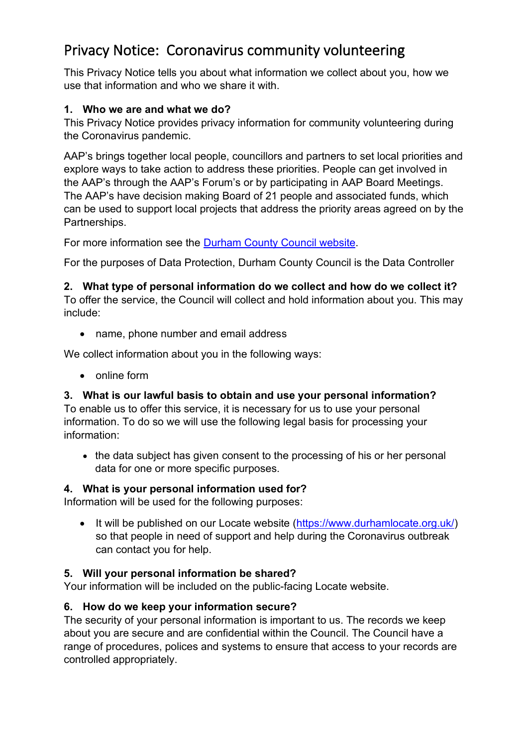# Privacy Notice: Coronavirus community volunteering

This Privacy Notice tells you about what information we collect about you, how we use that information and who we share it with.

### **1. Who we are and what we do?**

This Privacy Notice provides privacy information for community volunteering during the Coronavirus pandemic.

AAP's brings together local people, councillors and partners to set local priorities and explore ways to take action to address these priorities. People can get involved in the AAP's through the AAP's Forum's or by participating in AAP Board Meetings. The AAP's have decision making Board of 21 people and associated funds, which can be used to support local projects that address the priority areas agreed on by the Partnerships.

For more information see the [Durham County Council website.](http://www.durham.gov.uk/AAPs)

For the purposes of Data Protection, Durham County Council is the Data Controller

# **2. What type of personal information do we collect and how do we collect it?**

To offer the service, the Council will collect and hold information about you. This may include:

• name, phone number and email address

We collect information about you in the following ways:

• online form

# **3. What is our lawful basis to obtain and use your personal information?**

To enable us to offer this service, it is necessary for us to use your personal information. To do so we will use the following legal basis for processing your information:

• the data subject has given consent to the processing of his or her personal data for one or more specific purposes.

# **4. What is your personal information used for?**

Information will be used for the following purposes:

• It will be published on our Locate website [\(https://www.durhamlocate.org.uk/\)](<Varies>) so that people in need of support and help during the Coronavirus outbreak can contact you for help.

# **5. Will your personal information be shared?**

Your information will be included on the public-facing Locate website.

# **6. How do we keep your information secure?**

The security of your personal information is important to us. The records we keep about you are secure and are confidential within the Council. The Council have a range of procedures, polices and systems to ensure that access to your records are controlled appropriately.